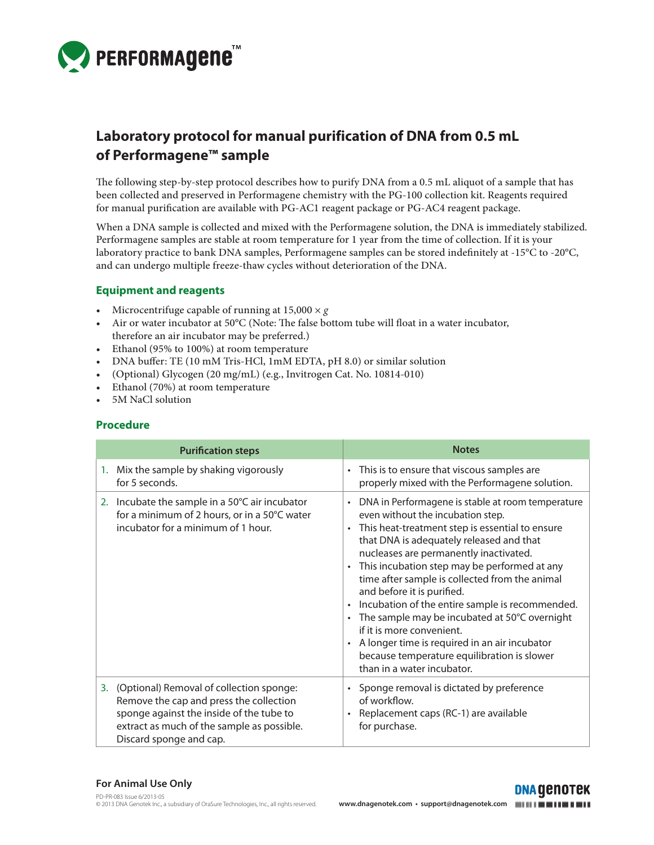

# **Laboratory protocol for manual purification of DNA from 0.5 mL of Performagene™ sample**

The following step-by-step protocol describes how to purify DNA from a 0.5 mL aliquot of a sample that has been collected and preserved in Performagene chemistry with the PG-100 collection kit. Reagents required for manual purification are available with PG-AC1 reagent package or PG-AC4 reagent package.

When a DNA sample is collected and mixed with the Performagene solution, the DNA is immediately stabilized. Performagene samples are stable at room temperature for 1 year from the time of collection. If it is your laboratory practice to bank DNA samples, Performagene samples can be stored indefinitely at -15°C to -20°C, and can undergo multiple freeze-thaw cycles without deterioration of the DNA.

## **Equipment and reagents**

- Microcentrifuge capable of running at  $15,000 \times g$
- Air or water incubator at  $50^{\circ}$ C (Note: The false bottom tube will float in a water incubator, therefore an air incubator may be preferred.)
- Ethanol (95% to 100%) at room temperature
- • DNA buffer: TE (10 mM Tris-HCl, 1mM EDTA, pH 8.0) or similar solution
- • (Optional) Glycogen (20 mg/mL) (e.g., Invitrogen Cat. No. 10814-010)
- • Ethanol (70%) at room temperature
- 5M NaCl solution

#### **Procedure**

| <b>Purification steps</b>                                                                                                                                                                                   | <b>Notes</b>                                                                                                                                                                                                                                                                                                                                                                                                                                                                                                                                                                                                                                                                                                 |
|-------------------------------------------------------------------------------------------------------------------------------------------------------------------------------------------------------------|--------------------------------------------------------------------------------------------------------------------------------------------------------------------------------------------------------------------------------------------------------------------------------------------------------------------------------------------------------------------------------------------------------------------------------------------------------------------------------------------------------------------------------------------------------------------------------------------------------------------------------------------------------------------------------------------------------------|
| 1. Mix the sample by shaking vigorously<br>for 5 seconds.                                                                                                                                                   | This is to ensure that viscous samples are<br>$\bullet$<br>properly mixed with the Performagene solution.                                                                                                                                                                                                                                                                                                                                                                                                                                                                                                                                                                                                    |
| 2. Incubate the sample in a $50^{\circ}$ C air incubator<br>for a minimum of 2 hours, or in a 50°C water<br>incubator for a minimum of 1 hour.                                                              | DNA in Performagene is stable at room temperature<br>$\bullet$<br>even without the incubation step.<br>This heat-treatment step is essential to ensure<br>$\bullet$<br>that DNA is adequately released and that<br>nucleases are permanently inactivated.<br>This incubation step may be performed at any<br>$\bullet$<br>time after sample is collected from the animal<br>and before it is purified.<br>Incubation of the entire sample is recommended.<br>$\bullet$<br>The sample may be incubated at 50°C overnight<br>$\bullet$<br>if it is more convenient.<br>A longer time is required in an air incubator<br>$\bullet$<br>because temperature equilibration is slower<br>than in a water incubator. |
| 3. (Optional) Removal of collection sponge:<br>Remove the cap and press the collection<br>sponge against the inside of the tube to<br>extract as much of the sample as possible.<br>Discard sponge and cap. | Sponge removal is dictated by preference<br>$\bullet$<br>of workflow.<br>Replacement caps (RC-1) are available<br>$\bullet$<br>for purchase.                                                                                                                                                                                                                                                                                                                                                                                                                                                                                                                                                                 |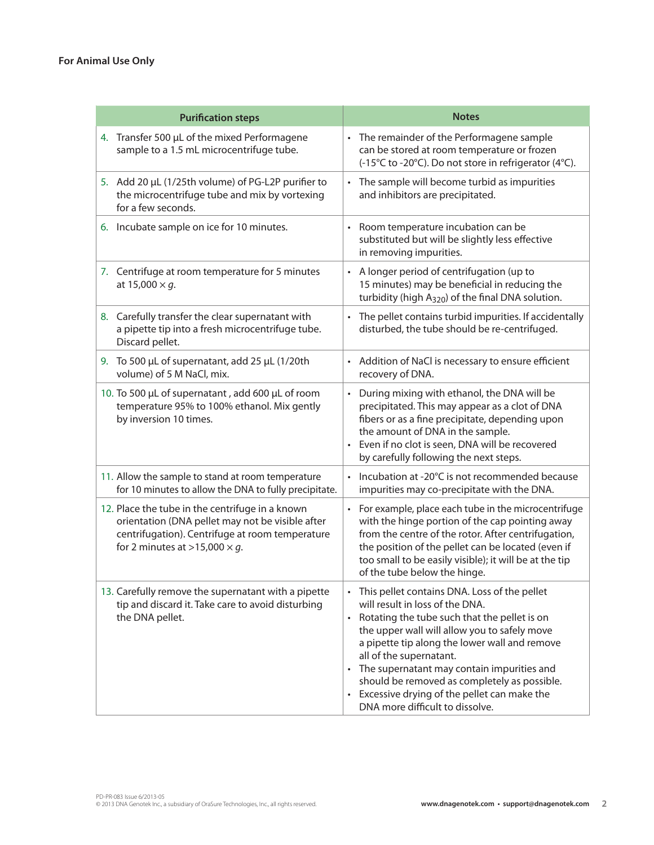| <b>Purification steps</b>                                                                                                                                                                      | <b>Notes</b>                                                                                                                                                                                                                                                                                                                                                                                                                                      |
|------------------------------------------------------------------------------------------------------------------------------------------------------------------------------------------------|---------------------------------------------------------------------------------------------------------------------------------------------------------------------------------------------------------------------------------------------------------------------------------------------------------------------------------------------------------------------------------------------------------------------------------------------------|
| 4. Transfer 500 µL of the mixed Performagene<br>sample to a 1.5 mL microcentrifuge tube.                                                                                                       | • The remainder of the Performagene sample<br>can be stored at room temperature or frozen<br>(-15°C to -20°C). Do not store in refrigerator (4°C).                                                                                                                                                                                                                                                                                                |
| 5. Add 20 µL (1/25th volume) of PG-L2P purifier to<br>the microcentrifuge tube and mix by vortexing<br>for a few seconds.                                                                      | • The sample will become turbid as impurities<br>and inhibitors are precipitated.                                                                                                                                                                                                                                                                                                                                                                 |
| 6. Incubate sample on ice for 10 minutes.                                                                                                                                                      | Room temperature incubation can be<br>substituted but will be slightly less effective<br>in removing impurities.                                                                                                                                                                                                                                                                                                                                  |
| 7. Centrifuge at room temperature for 5 minutes<br>at 15,000 $\times$ g.                                                                                                                       | A longer period of centrifugation (up to<br>15 minutes) may be beneficial in reducing the<br>turbidity (high A <sub>320</sub> ) of the final DNA solution.                                                                                                                                                                                                                                                                                        |
| 8. Carefully transfer the clear supernatant with<br>a pipette tip into a fresh microcentrifuge tube.<br>Discard pellet.                                                                        | The pellet contains turbid impurities. If accidentally<br>disturbed, the tube should be re-centrifuged.                                                                                                                                                                                                                                                                                                                                           |
| 9. To 500 µL of supernatant, add 25 µL (1/20th<br>volume) of 5 M NaCl, mix.                                                                                                                    | Addition of NaCl is necessary to ensure efficient<br>recovery of DNA.                                                                                                                                                                                                                                                                                                                                                                             |
| 10. To 500 µL of supernatant, add 600 µL of room<br>temperature 95% to 100% ethanol. Mix gently<br>by inversion 10 times.                                                                      | During mixing with ethanol, the DNA will be<br>precipitated. This may appear as a clot of DNA<br>fibers or as a fine precipitate, depending upon<br>the amount of DNA in the sample.<br>Even if no clot is seen, DNA will be recovered<br>by carefully following the next steps.                                                                                                                                                                  |
| 11. Allow the sample to stand at room temperature<br>for 10 minutes to allow the DNA to fully precipitate.                                                                                     | Incubation at -20°C is not recommended because<br>impurities may co-precipitate with the DNA.                                                                                                                                                                                                                                                                                                                                                     |
| 12. Place the tube in the centrifuge in a known<br>orientation (DNA pellet may not be visible after<br>centrifugation). Centrifuge at room temperature<br>for 2 minutes at >15,000 $\times$ g. | • For example, place each tube in the microcentrifuge<br>with the hinge portion of the cap pointing away<br>from the centre of the rotor. After centrifugation,<br>the position of the pellet can be located (even if<br>too small to be easily visible); it will be at the tip<br>of the tube below the hinge.                                                                                                                                   |
| 13. Carefully remove the supernatant with a pipette<br>tip and discard it. Take care to avoid disturbing<br>the DNA pellet.                                                                    | • This pellet contains DNA. Loss of the pellet<br>will result in loss of the DNA.<br>Rotating the tube such that the pellet is on<br>the upper wall will allow you to safely move<br>a pipette tip along the lower wall and remove<br>all of the supernatant.<br>• The supernatant may contain impurities and<br>should be removed as completely as possible.<br>• Excessive drying of the pellet can make the<br>DNA more difficult to dissolve. |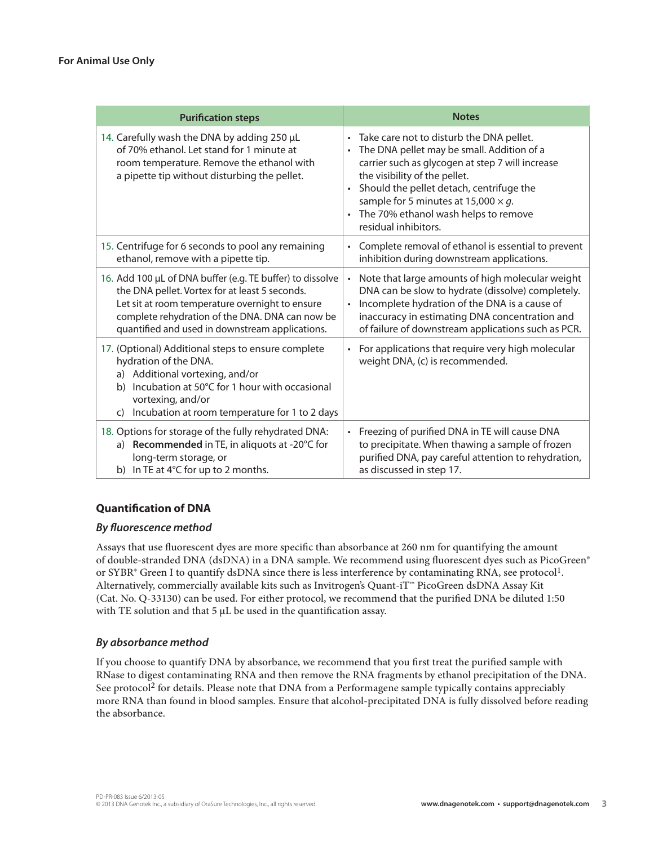| <b>Purification steps</b>                                                                                                                                                                                                                                            | <b>Notes</b>                                                                                                                                                                                                                                                                                                                                                                              |
|----------------------------------------------------------------------------------------------------------------------------------------------------------------------------------------------------------------------------------------------------------------------|-------------------------------------------------------------------------------------------------------------------------------------------------------------------------------------------------------------------------------------------------------------------------------------------------------------------------------------------------------------------------------------------|
| 14. Carefully wash the DNA by adding 250 µL<br>of 70% ethanol. Let stand for 1 minute at<br>room temperature. Remove the ethanol with<br>a pipette tip without disturbing the pellet.                                                                                | Take care not to disturb the DNA pellet.<br>$\bullet$<br>The DNA pellet may be small. Addition of a<br>$\bullet$<br>carrier such as glycogen at step 7 will increase<br>the visibility of the pellet.<br>Should the pellet detach, centrifuge the<br>$\bullet$<br>sample for 5 minutes at 15,000 $\times$ g.<br>The 70% ethanol wash helps to remove<br>$\bullet$<br>residual inhibitors. |
| 15. Centrifuge for 6 seconds to pool any remaining<br>ethanol, remove with a pipette tip.                                                                                                                                                                            | Complete removal of ethanol is essential to prevent<br>$\bullet$<br>inhibition during downstream applications.                                                                                                                                                                                                                                                                            |
| 16. Add 100 µL of DNA buffer (e.g. TE buffer) to dissolve<br>the DNA pellet. Vortex for at least 5 seconds.<br>Let sit at room temperature overnight to ensure<br>complete rehydration of the DNA. DNA can now be<br>quantified and used in downstream applications. | Note that large amounts of high molecular weight<br>$\bullet$<br>DNA can be slow to hydrate (dissolve) completely.<br>Incomplete hydration of the DNA is a cause of<br>$\bullet$<br>inaccuracy in estimating DNA concentration and<br>of failure of downstream applications such as PCR.                                                                                                  |
| 17. (Optional) Additional steps to ensure complete<br>hydration of the DNA.<br>a) Additional vortexing, and/or<br>Incubation at 50°C for 1 hour with occasional<br>b)<br>vortexing, and/or<br>Incubation at room temperature for 1 to 2 days<br>C)                   | For applications that require very high molecular<br>$\bullet$<br>weight DNA, (c) is recommended.                                                                                                                                                                                                                                                                                         |
| 18. Options for storage of the fully rehydrated DNA:<br>a) Recommended in TE, in aliquots at -20°C for<br>long-term storage, or<br>b) In TE at 4°C for up to 2 months.                                                                                               | Freezing of purified DNA in TE will cause DNA<br>$\bullet$<br>to precipitate. When thawing a sample of frozen<br>purified DNA, pay careful attention to rehydration,<br>as discussed in step 17.                                                                                                                                                                                          |

## **Quantification of DNA**

### *By fluorescence method*

Assays that use fluorescent dyes are more specific than absorbance at 260 nm for quantifying the amount of double-stranded DNA (dsDNA) in a DNA sample. We recommend using fluorescent dyes such as PicoGreen® or SYBR® Green I to quantify dsDNA since there is less interference by contaminating RNA, see protocol<sup>1</sup>. Alternatively, commercially available kits such as Invitrogen's Quant-iT™ PicoGreen dsDNA Assay Kit (Cat. No. Q-33130) can be used. For either protocol, we recommend that the purified DNA be diluted 1:50 with TE solution and that  $5 \mu L$  be used in the quantification assay.

### *By absorbance method*

If you choose to quantify DNA by absorbance, we recommend that you first treat the purified sample with RNase to digest contaminating RNA and then remove the RNA fragments by ethanol precipitation of the DNA. See protocol<sup>2</sup> for details. Please note that DNA from a Performagene sample typically contains appreciably more RNA than found in blood samples. Ensure that alcohol-precipitated DNA is fully dissolved before reading the absorbance.